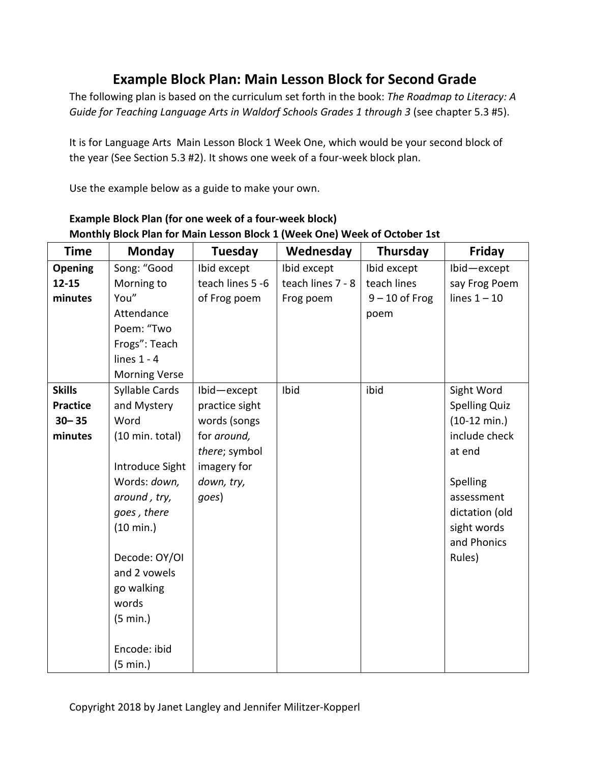## **Example Block Plan: Main Lesson Block for Second Grade**

The following plan is based on the curriculum set forth in the book: *The Roadmap to Literacy: A*  Guide for Teaching Language Arts in Waldorf Schools Grades 1 through 3 (see chapter 5.3 #5).

It is for Language Arts Main Lesson Block 1 Week One, which would be your second block of the year (See Section 5.3 #2). It shows one week of a four-week block plan.

Use the example below as a guide to make your own.

| <b>Time</b>     | <b>Monday</b>        | <b>Tuesday</b>   | Wednesday         | Thursday         | Friday                 |
|-----------------|----------------------|------------------|-------------------|------------------|------------------------|
| Opening         | Song: "Good          | Ibid except      | Ibid except       | Ibid except      | Ibid-except            |
| $12 - 15$       | Morning to           | teach lines 5 -6 | teach lines 7 - 8 | teach lines      | say Frog Poem          |
| minutes         | You"                 | of Frog poem     | Frog poem         | $9 - 10$ of Frog | lines $1 - 10$         |
|                 | Attendance           |                  |                   | poem             |                        |
|                 | Poem: "Two           |                  |                   |                  |                        |
|                 | Frogs": Teach        |                  |                   |                  |                        |
|                 | lines $1 - 4$        |                  |                   |                  |                        |
|                 | <b>Morning Verse</b> |                  |                   |                  |                        |
| <b>Skills</b>   | Syllable Cards       | Ibid-except      | Ibid              | ibid             | Sight Word             |
| <b>Practice</b> | and Mystery          | practice sight   |                   |                  | <b>Spelling Quiz</b>   |
| $30 - 35$       | Word                 | words (songs     |                   |                  | $(10-12 \text{ min.})$ |
| minutes         | (10 min. total)      | for around,      |                   |                  | include check          |
|                 |                      | there; symbol    |                   |                  | at end                 |
|                 | Introduce Sight      | imagery for      |                   |                  |                        |
|                 | Words: down,         | down, try,       |                   |                  | Spelling               |
|                 | around, try,         | goes)            |                   |                  | assessment             |
|                 | goes, there          |                  |                   |                  | dictation (old         |
|                 | $(10 \text{ min.})$  |                  |                   |                  | sight words            |
|                 |                      |                  |                   |                  | and Phonics            |
|                 | Decode: OY/OI        |                  |                   |                  | Rules)                 |
|                 | and 2 vowels         |                  |                   |                  |                        |
|                 | go walking           |                  |                   |                  |                        |
|                 | words                |                  |                   |                  |                        |
|                 | $(5 \text{ min.})$   |                  |                   |                  |                        |
|                 |                      |                  |                   |                  |                        |
|                 | Encode: ibid         |                  |                   |                  |                        |
|                 | $(5 \text{ min.})$   |                  |                   |                  |                        |

## **Example Block Plan (for one week of a four-week block) Monthly Block Plan for Main Lesson Block 1 (Week One) Week of October 1st**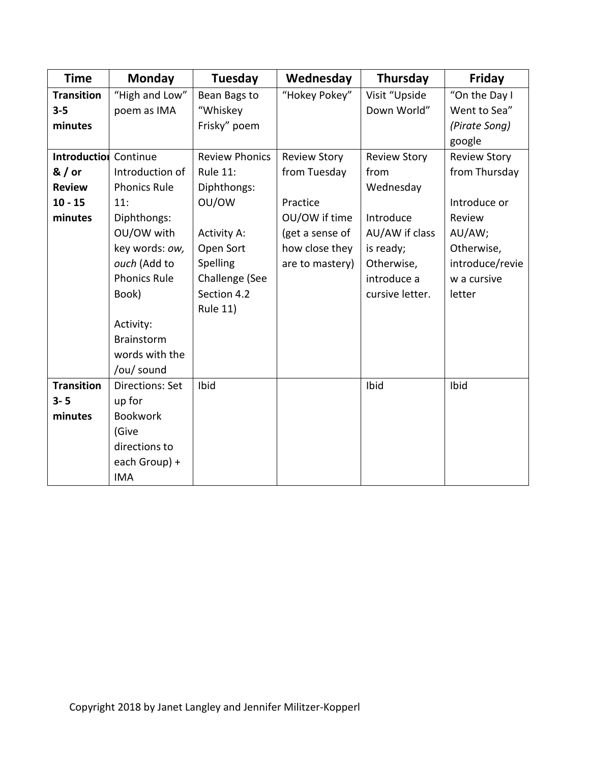| <b>Time</b>                  | <b>Monday</b>          | <b>Tuesday</b>        | Wednesday           | Thursday            | Friday              |
|------------------------------|------------------------|-----------------------|---------------------|---------------------|---------------------|
| <b>Transition</b>            | "High and Low"         | Bean Bags to          | "Hokey Pokey"       | Visit "Upside       | "On the Day I       |
| $3 - 5$                      | poem as IMA            | "Whiskey              |                     | Down World"         | Went to Sea"        |
| minutes                      |                        | Frisky" poem          |                     |                     | (Pirate Song)       |
|                              |                        |                       |                     |                     | google              |
| <b>Introduction</b> Continue |                        | <b>Review Phonics</b> | <b>Review Story</b> | <b>Review Story</b> | <b>Review Story</b> |
| $8/$ or                      | Introduction of        | <b>Rule 11:</b>       | from Tuesday        | from                | from Thursday       |
| <b>Review</b>                | <b>Phonics Rule</b>    | Diphthongs:           |                     | Wednesday           |                     |
| $10 - 15$                    | 11:                    | OU/OW                 | Practice            |                     | Introduce or        |
| minutes                      | Diphthongs:            |                       | OU/OW if time       | Introduce           | Review              |
|                              | OU/OW with             | <b>Activity A:</b>    | (get a sense of     | AU/AW if class      | AU/AW;              |
|                              | key words: ow,         | Open Sort             | how close they      | is ready;           | Otherwise,          |
|                              | ouch (Add to           | Spelling              | are to mastery)     | Otherwise,          | introduce/revie     |
|                              | <b>Phonics Rule</b>    | Challenge (See        |                     | introduce a         | w a cursive         |
|                              | Book)                  | Section 4.2           |                     | cursive letter.     | letter              |
|                              |                        | <b>Rule 11)</b>       |                     |                     |                     |
|                              | Activity:              |                       |                     |                     |                     |
|                              | <b>Brainstorm</b>      |                       |                     |                     |                     |
|                              | words with the         |                       |                     |                     |                     |
|                              | /ou/ sound             |                       |                     |                     |                     |
| <b>Transition</b>            | <b>Directions: Set</b> | Ibid                  |                     | Ibid                | Ibid                |
| $3 - 5$                      | up for                 |                       |                     |                     |                     |
| minutes                      | <b>Bookwork</b>        |                       |                     |                     |                     |
|                              | (Give                  |                       |                     |                     |                     |
|                              | directions to          |                       |                     |                     |                     |
|                              | each Group) +          |                       |                     |                     |                     |
|                              | <b>IMA</b>             |                       |                     |                     |                     |